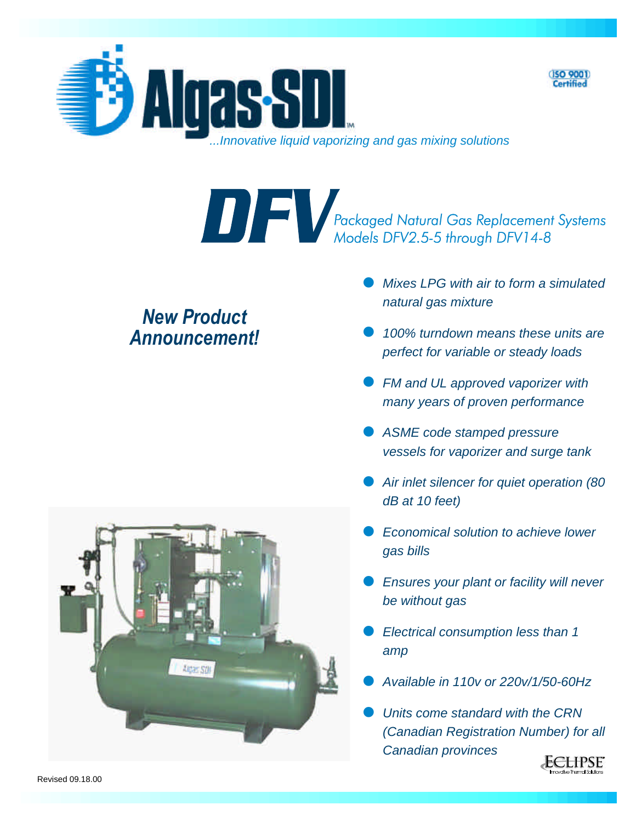



Packaged Natural Gas Replacement Systems<br>Models DFV2.5-5 through DFV14-8

## **New Product** *An nounce ment!*

- l *Mixes LPG with air to form a simulated natural gas mixture*
- 100% turndown means these units are *perfect for variable or steady loads*
- **FM and UL approved vaporizer with** *many years of proven performance*
- ASME code stamped pressure *vessels for vaporizer and surge tank*
- **Air inlet silencer for quiet operation (80** *dB at 10 feet)*
- *Economical solution to achieve lower gas bills*
- *Ensures your plant or facility will never be with out gas*
- *Electrical consumption less than 1 amp*
- l *Available in 110v or 220v/1/50-60Hz*
- l *Units come standard with the CRN (Canadian Registration Number) for all Canadian provinces*